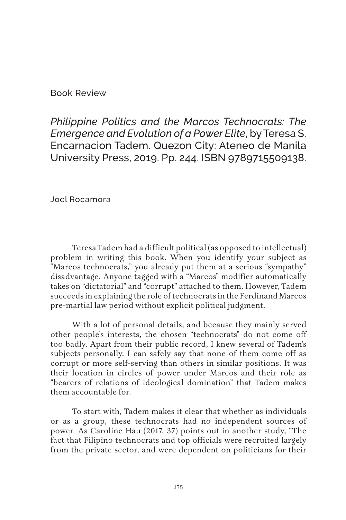Book Review

*Philippine Politics and the Marcos Technocrats: The Emergence and Evolution of a Power Elite*, by Teresa S. Encarnacion Tadem. Quezon City: Ateneo de Manila University Press, 2019. Pp. 244. ISBN 9789715509138.

Joel Rocamora

Teresa Tadem had a difficult political (as opposed to intellectual) problem in writing this book. When you identify your subject as "Marcos technocrats," you already put them at a serious "sympathy" disadvantage. Anyone tagged with a "Marcos" modifier automatically takes on "dictatorial" and "corrupt" attached to them. However, Tadem succeeds in explaining the role of technocrats in the Ferdinand Marcos pre-martial law period without explicit political judgment.

With a lot of personal details, and because they mainly served other people's interests, the chosen "technocrats" do not come off too badly. Apart from their public record, I knew several of Tadem's subjects personally. I can safely say that none of them come off as corrupt or more self-serving than others in similar positions. It was their location in circles of power under Marcos and their role as "bearers of relations of ideological domination" that Tadem makes them accountable for.

To start with, Tadem makes it clear that whether as individuals or as a group, these technocrats had no independent sources of power. As Caroline Hau (2017, 37) points out in another study, "The fact that Filipino technocrats and top officials were recruited largely from the private sector, and were dependent on politicians for their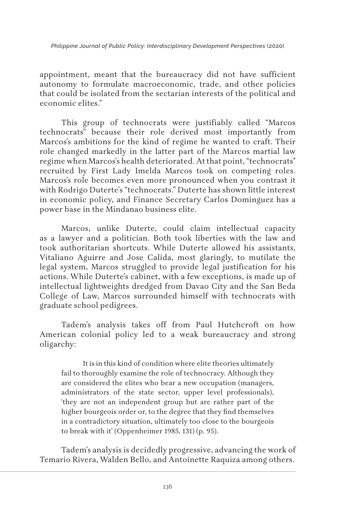*Philippine Journal of Public Policy: Interdisciplinary Development Perspectives* (2020)

appointment, meant that the bureaucracy did not have sufficient autonomy to formulate macroeconomic, trade, and other policies that could be isolated from the sectarian interests of the political and economic elites."

This group of technocrats were justifiably called "Marcos technocrats" because their role derived most importantly from Marcos's ambitions for the kind of regime he wanted to craft. Their role changed markedly in the latter part of the Marcos martial law regime when Marcos's health deteriorated. At that point, "technocrats" recruited by First Lady Imelda Marcos took on competing roles. Marcos's role becomes even more pronounced when you contrast it with Rodrigo Duterte's "technocrats." Duterte has shown little interest in economic policy, and Finance Secretary Carlos Dominguez has a power base in the Mindanao business elite.

Marcos, unlike Duterte, could claim intellectual capacity as a lawyer and a politician. Both took liberties with the law and took authoritarian shortcuts. While Duterte allowed his assistants, Vitaliano Aguirre and Jose Calida, most glaringly, to mutilate the legal system, Marcos struggled to provide legal justification for his actions. While Duterte's cabinet, with a few exceptions, is made up of intellectual lightweights dredged from Davao City and the San Beda College of Law, Marcos surrounded himself with technocrats with graduate school pedigrees.

Tadem's analysis takes off from Paul Hutchcroft on how American colonial policy led to a weak bureaucracy and strong oligarchy:

It is in this kind of condition where elite theories ultimately fail to thoroughly examine the role of technocracy. Although they are considered the elites who bear a new occupation (managers, administrators of the state sector, upper level professionals), 'they are not an independent group but are rather part of the higher bourgeois order or, to the degree that they find themselves in a contradictory situation, ultimately too close to the bourgeois to break with it' (Oppenheimer 1985, 131) (p. 95).

Tadem's analysis is decidedly progressive, advancing the work of Temario Rivera, Walden Bello, and Antoinette Raquiza among others.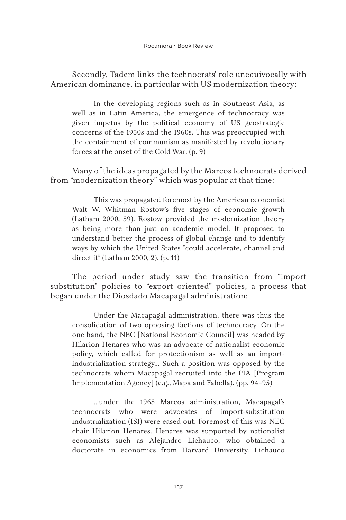Secondly, Tadem links the technocrats' role unequivocally with American dominance, in particular with US modernization theory:

In the developing regions such as in Southeast Asia, as well as in Latin America, the emergence of technocracy was given impetus by the political economy of US geostrategic concerns of the 1950s and the 1960s. This was preoccupied with the containment of communism as manifested by revolutionary forces at the onset of the Cold War. (p. 9)

Many of the ideas propagated by the Marcos technocrats derived from "modernization theory" which was popular at that time:

This was propagated foremost by the American economist Walt W. Whitman Rostow's five stages of economic growth (Latham 2000, 59). Rostow provided the modernization theory as being more than just an academic model. It proposed to understand better the process of global change and to identify ways by which the United States "could accelerate, channel and direct it" (Latham 2000, 2). (p. 11)

The period under study saw the transition from "import substitution" policies to "export oriented" policies, a process that began under the Diosdado Macapagal administration:

Under the Macapagal administration, there was thus the consolidation of two opposing factions of technocracy. On the one hand, the NEC [National Economic Council] was headed by Hilarion Henares who was an advocate of nationalist economic policy, which called for protectionism as well as an importindustrialization strategy… Such a position was opposed by the technocrats whom Macapagal recruited into the PIA [Program Implementation Agency] (e.g., Mapa and Fabella). (pp. 94–95)

…under the 1965 Marcos administration, Macapagal's technocrats who were advocates of import-substitution industrialization (ISI) were eased out. Foremost of this was NEC chair Hilarion Henares. Henares was supported by nationalist economists such as Alejandro Lichauco, who obtained a doctorate in economics from Harvard University. Lichauco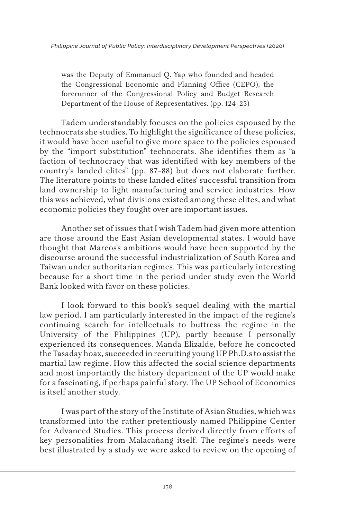was the Deputy of Emmanuel Q. Yap who founded and headed the Congressional Economic and Planning Office (CEPO), the forerunner of the Congressional Policy and Budget Research Department of the House of Representatives. (pp. 124–25)

Tadem understandably focuses on the policies espoused by the technocrats she studies. To highlight the significance of these policies, it would have been useful to give more space to the policies espoused by the "import substitution" technocrats. She identifies them as "a faction of technocracy that was identified with key members of the country's landed elites" (pp. 87–88) but does not elaborate further. The literature points to these landed elites' successful transition from land ownership to light manufacturing and service industries. How this was achieved, what divisions existed among these elites, and what economic policies they fought over are important issues.

Another set of issues that I wish Tadem had given more attention are those around the East Asian developmental states. I would have thought that Marcos's ambitions would have been supported by the discourse around the successful industrialization of South Korea and Taiwan under authoritarian regimes. This was particularly interesting because for a short time in the period under study even the World Bank looked with favor on these policies.

I look forward to this book's sequel dealing with the martial law period. I am particularly interested in the impact of the regime's continuing search for intellectuals to buttress the regime in the University of the Philippines (UP), partly because I personally experienced its consequences. Manda Elizalde, before he concocted the Tasaday hoax, succeeded in recruiting young UP Ph.D.s to assist the martial law regime. How this affected the social science departments and most importantly the history department of the UP would make for a fascinating, if perhaps painful story. The UP School of Economics is itself another study.

I was part of the story of the Institute of Asian Studies, which was transformed into the rather pretentiously named Philippine Center for Advanced Studies. This process derived directly from efforts of key personalities from Malacañang itself. The regime's needs were best illustrated by a study we were asked to review on the opening of